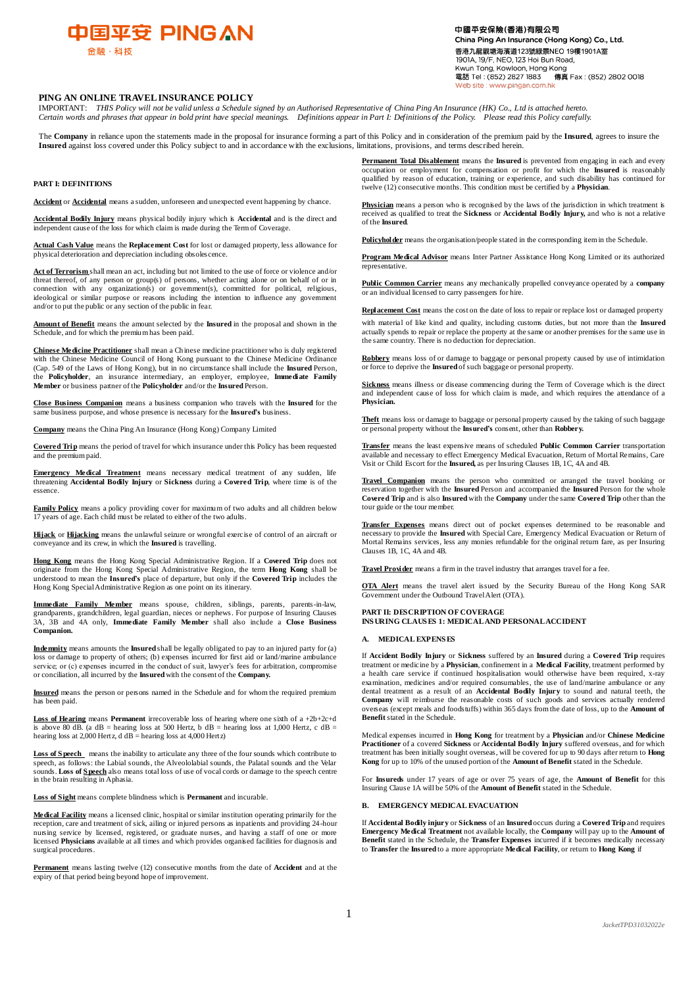

中國平安保險(香港)有限公司 China Ping An Insurance (Hong Kong) Co., Ltd. 香港九龍期博海濱道123號緑暑NEO 19樓19014室 1901A, 19/F, NEO, 123 Hoi Bun Road, Kwun Tong, Kowloon, Hong Kong<br>電話 Tel: (852) 2827 1883 傳真 Fax: (852) 2802 0018 veb site : www.pingan.com.hk

# **PING AN ONLINE TRAVEL INSURANCE POLICY**

IMPORTANT: *THIS Policy will not be valid unless a Schedule signed by an Authorised Representative of China Ping An Insurance (HK) Co., Ltd is attached hereto. Certain words and phrases that appear in bold print have special meanings. Definitions appear in Part I: Definitions of the Policy. Please read this Policy carefully.*

The **Company** in reliance upon the statements made in the proposal for insurance forming a part of this Policy and in consideration of the premium paid by the **Insured**, agrees to insure the **Insured** against loss covered under this Policy subject to and in accordance with the exclusions, limitations, provisions, and terms described herein.

#### **PART I: DEFINITIONS**

**Accident** or **Accidental** means a sudden, unforeseen and unexpected event happening by chance.

**Accidental Bodily Injury** means physical bodily injury which is **Accidental** and is the direct and independent cause of the loss for which claim is made during the Term of Coverage.

**Actual Cash Value** means the **Replacement Cost** for lost or damaged property, less allowance for physical deterioration and depreciation including obsoles cence.

**Act of Terrorism** shall mean an act, including but not limited to the use of force or violence and/or threat thereof, of any person or group(s) of persons, whether acting alone or on behalf of or in connection with any organization(s) or government(s), committed for political, religious, ideological or similar purpose or reasons including the intention to influence any government and/or to put the public or any section of the public in fear.

**Amount of Benefit** means the amount selected by the **Insured** in the proposal and shown in the Schedule, and for which the premium has been paid.

**Chinese Medicine Practitioner** shall mean a Chinese medicine practitioner who is duly registered with the Chinese Medicine Council of Hong Kong pursuant to the Chinese Medicine Ordinance (Cap. 549 of the Laws of Hong Kong), but in no circumstance shall include the **Insured** Person, the **Policyholder**, an insurance intermediary, an employer, employee, **Immediate Family Member** or business partner of the **Policyholder** and/or the **Insured** Person.

**Close Business Companion** means a business companion who travels with the **Insured** for the same business purpose, and whose presence is necessary for the **Insured's** business.

**Company** means the China Ping An Insurance (Hong Kong) Company Limited

**Covered Trip** means the period of travel for which insurance under this Policy has been requested and the premium paid.

**Emergency Medical Treatment** means necessary medical treatment of any sudden, life threatening **Accidental Bodily Injury** or **Sickness** during a **Covered Trip**, where time is of the essence.

**Family Policy** means a policy providing cover for maximum of two adults and all children below 17 years of age. Each child must be related to either of the two adults.

**Hijack** or **Hijacking** means the unlawful seizure or wrongful exercise of control of an aircraft or conveyance and its crew, in which the **Insured** is travelling.

**Hong Kong** means the Hong Kong Special Administrative Region. If a **Covered Trip** does not originate from the Hong Kong Special Administrative Region, the term **Hong Kong** shall be understood to mean the **Insured's** place of departure, but only if the **Covered Trip** includes the Hong Kong Special Administrative Region as one point on its itinerary.

**Immediate Family Member** means spouse, children, siblings, parents, parents-in-law, grandparents, grandchildren, legal guardian, nieces or nephews. For purpose of Insuring Clauses 3A, 3B and 4A only, **Immediate Family Member** shall also include a **Close Business Companion.**

**Indemnity** means amounts the **Insured** shall be legally obligated to pay to an injured party for (a) loss or damage to property of others; (b) expenses incurred for first aid or land/marine ambulance service; or (c) expenses incurred in the conduct of suit, lawyer's fees for arbitration, compromise or conciliation, all incurred by the **Insured**with the consent of the **Company.**

**Insured** means the person or persons named in the Schedule and for whom the required premium has been paid.

**Loss of Hearing** means **Permanent** irrecoverable loss of hearing where one sixth of a +2b+2c+d is above 80 dB. (a dB = hearing loss at 500 Hertz, b dB = hearing loss at 1,000 Hertz, c dB = hearing loss at 2,000 Hertz, d dB = hearing loss at 4,000 Hertz)

Loss of S peech means the inability to articulate any three of the four sounds which contribute to speech, as follows: the Labial sounds, the Alveololabial sounds, the Palatal sounds and the Velar sounds. **Loss of S peech** also means total loss of use of vocal cords or damage to the speech centre in the brain resulting in Aphasia.

**Loss of Sight** means complete blindness which is **Permanent** and incurable.

**Medical Facility** means a licensed clinic, hospital or similar institution operating primarily for the reception, care and treatment of sick, ailing or injured persons as inpatients and providing 24-hour nursing service by licensed, registered, or graduate nurses, and having a staff of one or more licensed **Physicians** available at all times and which provides organised facilities for diagnosis and surgical procedures.

**Permanent** means lasting twelve (12) consecutive months from the date of **Accident** and at the expiry of that period being beyond hope of improvement.

**Permanent Total Disablement** means the **Insured** is prevented from engaging in each and every occupation or employment for compensation or profit for which the **Insured** is reasonably qualified by reason of education, training or experience, and such disability has continued for twelve (12) consecutive months. This condition must be certified by a **Physician**.

**Physician** means a person who is recognised by the laws of the jurisdiction in which treatment is received as qualified to treat the **Sickness** or **Accidental Bodily Injury,** and who is not a relative of the **Insured**.

**Policyholder** means the organisation/people stated in the corresponding item in the Schedule.

**Program Medical Advisor** means Inter Partner Assistance Hong Kong Limited or its authorized representative.

**Public Common Carrier** means any mechanically propelled conveyance operated by a **company** or an individual licensed to carry passengers for hire.

**Replacement Cost** means the cost on the date of loss to repair or replace lost or damaged property with material of like kind and quality, including customs duties, but not more than the **Insured**  actually spends to repair or replace the property at the same or another premises for the same use in the same country. There is no deduction for depreciation.

**Robbery** means loss of or damage to baggage or personal property caused by use of intimidation or force to deprive the **Insured** of such baggage or personal property.

**Sickness** means illness or disease commencing during the Term of Coverage which is the direct and independent cause of loss for which claim is made, and which requires the attendance of a **Physician.**

**Theft** means loss or damage to baggage or personal property caused by the taking of such baggage or personal property without the **Insured's** consent, other than **Robbery.**

**Transfer** means the least expensive means of scheduled **Public Common Carrier** transportation available and necessary to effect Emergency Medical Evacuation, Return of Mortal Remains, Care Visit or Child Escort for the **Insured,** as per Insuring Clauses 1B, 1C, 4A and 4B.

**Travel Companion** means the person who committed or arranged the travel booking or reservation together with the **Insured** Person and accompanied the **Insured** Person for the whole **Covered Trip** and is also **Insured**with the **Company** under the same **Covered Trip** other than the tour guide or the tour member.

**Transfer Expenses** means direct out of pocket expenses determined to be reasonable and necessary to provide the **Insured** with Special Care, Emergency Medical Evacuation or Return of Mortal Remains services, less any monies refundable for the original return fare, as per Insuring Clauses 1B, 1C, 4A and 4B.

**Travel Provider** means a firm in the travel industry that arranges travel for a fee.

**OTA Alert** means the travel alert issued by the Security Bureau of the Hong Kong SAR Government under the Outbound Travel Alert (OTA).

# **PART II: DESCRIPTION OF COVERAGE INS URING CLAUS ES 1: MEDICAL AND PERSONAL ACCIDENT**

# **A. MEDICAL EXPENS ES**

If **Accident Bodily Injury** or **Sickness** suffered by an **Insured** during a **Covered Trip** requires treatment or medicine by a **Physician**, confinement in a **Medical Facility**, treatment performed by a health care service if continued hospitalisation would otherwise have been required, x-ray examination, medicines and/or required consumables, the use of land/marine ambulance or any dental treatment as a result of an **Accidental Bodily Injury** to sound and natural teeth, the **Company** will reimburse the reasonable costs of such goods and services actually rendered overseas (except meals and foodstuffs) within 365 days from the date of loss, up to the **Amount of Benefit** stated in the Schedule.

Medical expenses incurred in **Hong Kong** for treatment by a **Physician** and/or **Chinese Medicine Practitioner** of a covered **Sickness** or **Accidental Bodily Injury** suffered overseas, and for which treatment has been initially sought overseas, will be covered for up to 90 days after return to **Hong Kong** for up to 10% of the unused portion of the **Amount of Benefit** stated in the Schedule.

For **Insureds** under 17 years of age or over 75 years of age, the **Amount of Benefit** for this Insuring Clause 1A will be 50% of the **Amount of Benefit** stated in the Schedule.

## **B. EMERGENCY MEDICAL EVACUATION**

If **Accidental Bodily injury** or **Sickness** of an **Insured** occurs during a **Covered Trip** and requires **Emergency Medical Treatment** not available locally, the **Company** will pay up to the **Amount of Benefit** stated in the Schedule, the **Transfer Expenses** incurred if it becomes medically necessary to **Transfer** the **Insured** to a more appropriate **Medical Facility**, or return to **Hong Kong** if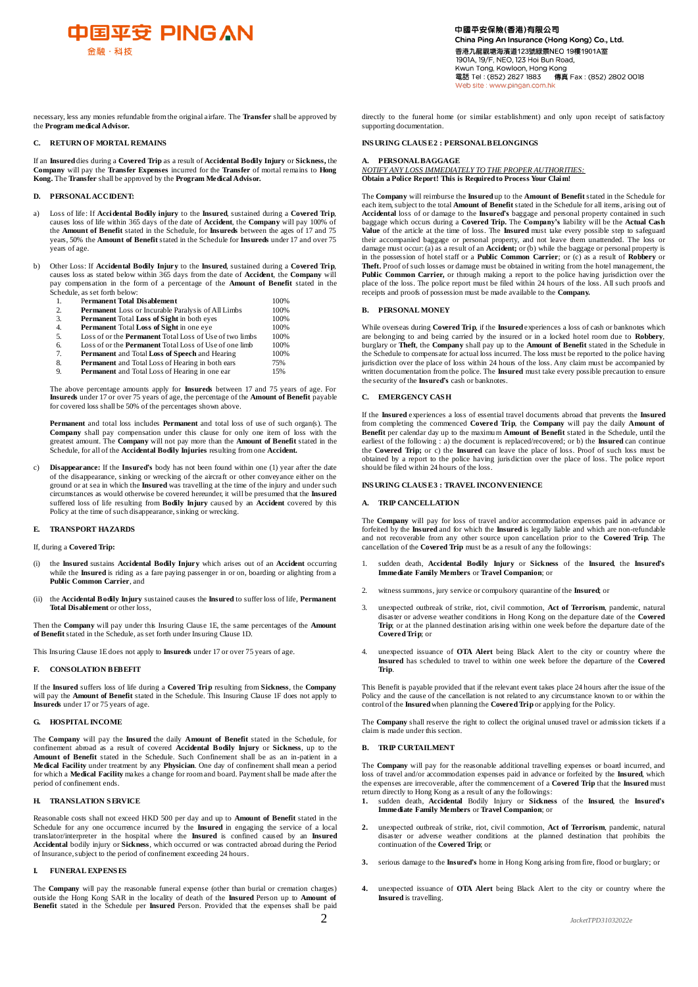

necessary, less any monies refundable from the original airfare. The **Transfer** shall be approved by the **Program medical Advisor.**

### **C. RETURN OF MORTAL REMAINS**

If an **Insured** dies during a **Covered Trip** as a result of **Accidental Bodily Injury** or **Sickness,** the **Company** will pay the **Transfer Expenses** incurred for the **Transfer** of mortal remains to **Hong Kong.** The **Transfer** shall be approved by the **Program Medical Advisor.**

# **D. PERSONAL ACCIDENT:**

- a) Loss of life: If **Accidental Bodily injury** to the **Insured**, sustained during a **Covered Trip**, causes loss of life within 365 days of the date of **Accident**, the **Company** will pay 100% of the **Amount of Benefit** stated in the Schedule, for **Insureds** between the ages of 17 and 75 years, 50% the **Amount of Benefit** stated in the Schedule for **Insureds** under 17 and over 75 years of age.
- b) Other Loss: If **Accidental Bodily Injury** to the **Insured**, sustained during a **Covered Trip**, causes loss as stated below within 365 days from the date of **Accident**, the **Company** will pay compensation in the form of a percentage of the **Amount of Benefit** stated in the Schedule, as set forth below:
	- 1. P**ermanent Total Disablement** 100%

|    |                                                                | .    |
|----|----------------------------------------------------------------|------|
| 2. | <b>Permanent</b> Loss or Incurable Paralysis of All Limbs      | 100% |
| 3. | <b>Permanent Total Loss of Sight in both eyes</b>              | 100% |
| 4. | <b>Permanent Total Loss of Sight in one eye</b>                | 100% |
| 5. | Loss of or the <b>Permanent</b> Total Loss of Use of two limbs | 100% |
| 6. | Loss of or the <b>Permanent</b> Total Loss of Use of one limb  | 100% |
| 7. | <b>Permanent</b> and Total Loss of Speech and Hearing          | 100% |
| 8. | <b>Permanent</b> and Total Loss of Hearing in both ears        | 75%  |
| 9. | <b>Permanent</b> and Total Loss of Hearing in one ear          | 15%  |
|    |                                                                |      |

The above percentage amounts apply for **Insureds** between 17 and 75 years of age. For **Insureds** under 17 or over 75 years of age, the percentage of the **Amount of Benefit** payable for covered loss shall be 50% of the percentages shown above.

**Permanent** and total loss includes **Permanent** and total loss of use of such organ(s). The **Company** shall pay compensation under this clause for only one item of loss with the greatest amount. The **Company** will not pay more than the **Amount of Benefit** stated in the Schedule, for all of the **Accidental Bodily Injuries** resulting from one **Accident.**

c) **Disappearance:** If the **Insured's** body has not been found within one (1) year after the date of the disappearance, sinking or wrecking of the aircraft or other conveyance either on the ground or at sea in which the **Insured** was travelling at the time of the injury and under such circumstances as would otherwise be covered hereunder, it will be presumed that the **Insured** suffered loss of life resulting from **Bodily Injury** caused by an **Accident** covered by this Policy at the time of such disappearance, sinking or wrecking.

### **E. TRANSPORT HAZARDS**

If, during a **Covered Trip:**

- (i) the **Insured** sustains **Accidental Bodily Injury** which arises out of an **Accident** occurring while the **Insured** is riding as a fare paying passenger in or on, boarding or alighting from a **Public Common Carrier**, and
- (ii) the **Accidental Bodily Injury** sustained causes the **Insured** to suffer loss of life, **Permanent Total Disablement** or other loss,

Then the **Company** will pay under this Insuring Clause 1E, the same percentages of the **Amount of Benefit** stated in the Schedule, as set forth under Insuring Clause 1D.

This Insuring Clause 1E does not apply to **Insureds** under 17 or over 75 years of age.

#### **F. CONSOLATION BEBEFIT**

If the **Insured** suffers loss of life during a **Covered Trip** resulting from **Sickness**, the **Company** will pay the **Amount of Benefit** stated in the Schedule. This Insuring Clause 1F does not apply to **Insureds** under 17 or 75 years of age.

# **G. HOSPITAL INCOME**

The **Company** will pay the **Insured** the daily **Amount of Benefit** stated in the Schedule, for confinement abroad as a result of covered **Accidental Bodily Injury** or **Sickness**, up to the **Amount of Benefit** stated in the Schedule. Such Confinement shall be as an in-patient in a **Medical Facility** under treatment by any **Physician**. One day of confinement shall mean a period for which a **Medical Facility** makes a change for room and board. Payment shall be made after the period of confinement ends.

# **H. TRANSLATION S ERVICE**

Reasonable costs shall not exceed HKD 500 per day and up to **Amount of Benefit** stated in the Schedule for any one occurrence incurred by the **Insured** in engaging the service of a local translator/interpreter in the hospital where the **Insured** is confined caused by an **Insured Accidental** bodily injury or **Sickness**, which occurred or was contracted abroad during the Period of Insurance, subject to the period of confinement exceeding 24 hours.

# **I. FUNERAL EXPENS ES**

The **Company** will pay the reasonable funeral expense (other than burial or cremation charges) outside the Hong Kong SAR in the locality of death of the **Insured** Person up to **Amount of Benefit** stated in the Schedule per **Insured** Person. Provided that the expenses shall be paid

# **INS URING CLAUS E 2 : PERSONAL BELONGINGS**

#### **A. PERSONAL BAGGAGE** *NOTIFY ANY LOSS IMMEDIATELY TO THE PROPER AUTHORITIES:* **Obtain a Police Report! This is Required to Process Your Claim!**

The **Company** will reimburse the **Insured** up to the **Amount of Benefit** stated in the Schedule for each item, subject to the total **Amount of Benefit** stated in the Schedule for all items, arising out of **Accidental** loss of or damage to the **Insured's** baggage and personal property contained in such baggage which occurs during a **Covered Trip.** The **Company's** liability will be the **Actual Cash Value** of the article at the time of loss. The **Insured** must take every possible step to safeguard their accompanied baggage or personal property, and not leave them unattended. The loss or damage must occur: (a) as a result of an **Accident;** or (b) while the baggage or personal property is in the possession of hotel staff or a **Public Common Carrier**; or (c) as a result of **Robbery** or **Theft.** Proof of such losses or damage must be obtained in writing from the hotel management, the Public Common Carrier, or through making a report to the police having jurisdiction over the place of the loss. The police report must be filed within 24 hours of the loss. All such proofs and receipts and proofs of possession must be made available to the **Company.**

#### **B. PERSONAL MONEY**

While overseas during **Covered Trip**, if the **Insured** experiences a loss of cash or banknotes which are belonging to and being carried by the insured or in a locked hotel room due to **Robbery**, burglary or **Theft**, the **Company** shall pay up to the **Amount of Benefit** stated in the Schedule in the Schedule to compensate for actual loss incurred. The loss must be reported to the police having jurisdiction over the place of loss within 24 hours of the loss. Any claim must be accompanied by written documentation from the police. The **Insured** must take every possible precaution to ensure the security of the **Insured's** cash or banknotes.

#### **C. EMERGENCY CAS H**

If the **Insured** experiences a loss of essential travel documents abroad that prevents the **Insured**  from completing the commenced **Covered Trip**, the **Company** will pay the daily **Amount of Benefit** per calendar day up to the maximum **Amount of Benefit** stated in the Schedule, until the earliest of the following : a) the document is replaced/recovered; or b) the **Insured** can continue the **Covered Trip;** or c) the **Insured** can leave the place of loss. Proof of such loss must be obtained by a report to the police having jurisdiction over the place of loss. The police report should be filed within 24 hours of the loss.

# **INSURING CLAUSE3 : TRAVEL INCONVENIENCE**

# **A. TRIP CANCELLATION**

The **Company** will pay for loss of travel and/or accommodation expenses paid in advance or forfeited by the **Insured** and for which the **Insured** is legally liable and which are non-refundable and not recoverable from any other source upon cancellation prior to the **Covered Trip**. The cancellation of the **Covered Trip** must be as a result of any the followings:

- 1. sudden death, **Accidental Bodily Injury** or **Sickness** of the **Insured**, the **Insured's Immediate Family Members** or **Travel Companion**; or
- 2. witness summons, jury service or compulsory quarantine of the **Insured**; or
- 3. unexpected outbreak of strike, riot, civil commotion, **Act of Terrorism**, pandemic, natural disaster or adverse weather conditions in Hong Kong on the departure date of the **Covered Trip**; or at the planned destination arising within one week before the departure date of the **Covered Trip**; or
- 4. unexpected issuance of **OTA Alert** being Black Alert to the city or country where the **Insured** has scheduled to travel to within one week before the departure of the **Covered Trip**.

This Benefit is payable provided that if the relevant event takes place 24 hours after the issue of the Policy and the cause of the cancellation is not related to any circumstance known to or within the control of the **Insured**when planning the **Covered Trip** or applying for the Policy.

The **Company** shall reserve the right to collect the original unused travel or admission tickets if a claim is made under this section.

# **B. TRIP CURTAILMENT**

The **Company** will pay for the reasonable additional travelling expenses or board incurred, and loss of travel and/or accommodation expenses paid in advance or forfeited by the **Insured**, which the expenses are irrecoverable, after the commencement of a **Covered Trip** that the **Insured** must

- return directly to Hong Kong as a result of any the followings:<br>1. sudden death, Accidental Bodily Injury or Sickness of the Insured, the Insured's<br>Immediate Family Members or Travel Companion; or
- **2.** unexpected outbreak of strike, riot, civil commotion, **Act of Terrorism**, pandemic, natural disaster or adverse weather conditions at the planned destination that prohibits the continuation of the **Covered Trip**; or
- **3.** serious damage to the **Insured's** home in Hong Kong arising from fire, flood or burglary; or
- **4.** unexpected issuance of **OTA Alert** being Black Alert to the city or country where the **Insured** is travelling.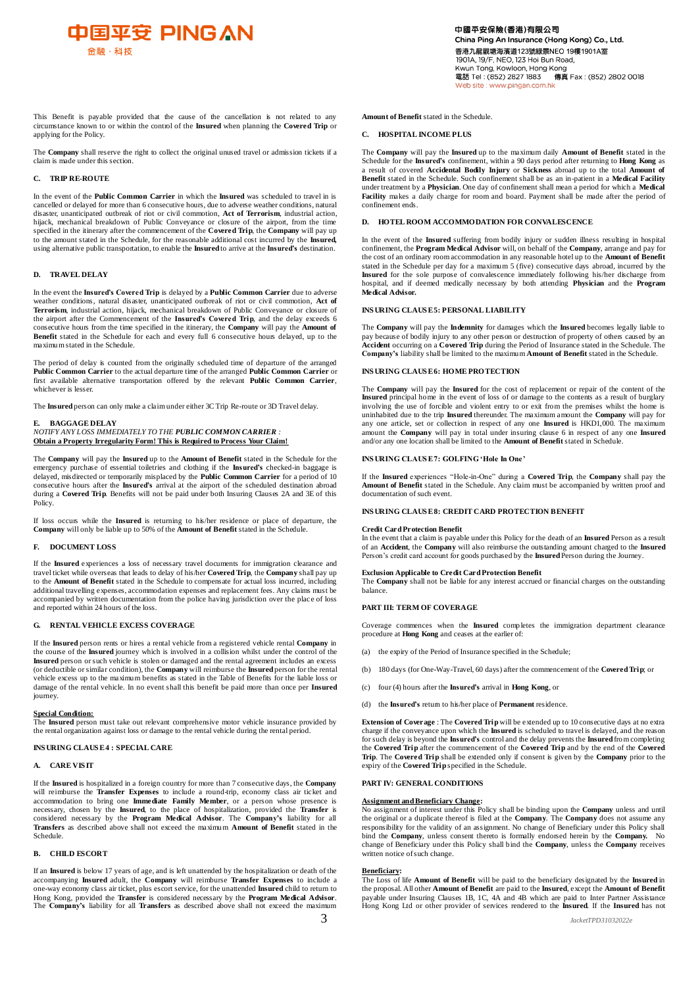

This Benefit is payable provided that the cause of the cancellation is not related to any circumstance known to or within the control of the **Insured** when planning the **Covered Trip** or applying for the Policy.

The **Company** shall reserve the right to collect the original unused travel or admission tickets if a claim is made under this section.

# **C. TRIP RE-ROUTE**

In the event of the **Public Common Carrier** in which the **Insured** was scheduled to travel in is cancelled or delayed for more than 6 consecutive hours, due to adverse weather conditions, natural disaster, unanticipated outbreak of riot or civil commotion, **Act of Terrorism**, industrial action, hijack, mechanical breakdown of Public Conveyance or closure of the airport, from the time specified in the itinerary after the commencement of the **Covered Trip**, the **Company** will pay up to the amount stated in the Schedule, for the reasonable additional cost incurred by the **Insured,** using alternative public transportation, to enable the **Insured** to arrive at the **Insured's** destination.

# **D. TRAVEL DELAY**

In the event the **Insured's Covered Trip** is delayed by a **Public Common Carrier** due to adverse weather conditions, natural disaster, unanticipated outbreak of riot or civil commotion, **Act of Terrorism**, industrial action, hijack, mechanical breakdown of Public Conveyance or closure of the airport after the Commencement of the **Insured's Covered Trip**, and the delay exceeds 6 consecutive hours from the time specified in the itinerary, the **Company** will pay the **Amount of Benefit** stated in the Schedule for each and every full 6 consecutive hours delayed, up to the maximum stated in the Schedule.

The period of delay is counted from the originally scheduled time of departure of the arranged **Public Common Carrier** to the actual departure time of the arranged **Public Common Carrier** or first available alternative transportation offered by the relevant **Public Common Carrier**, whichever is lesser.

The **Insured** person can only make a claim under either 3C Trip Re-route or 3D Travel delay.

# **E. BAGGAGE DELAY**

*NOTIFY ANY LOSS IMMEDIATELY TO THE PUBLIC COMMON CARRIER :* **Obtain a Property Irregularity Form! This is Required to Process Your Claim!**

The **Company** will pay the **Insured** up to the **Amount of Benefit** stated in the Schedule for the emergency purchase of essential toiletries and clothing if the **Insured's** checked-in baggage is delayed, misdirected or temporarily misplaced by the **Public Common Carrier** for a period of 10 consecutive hours after the **Insured's** arrival at the airport of the scheduled destination abroad during a **Covered Trip**. Benefits will not be paid under both Insuring Clauses 2A and 3E of this Policy.

If loss occurs while the **Insured** is returning to his/her residence or place of departure, the **Company** will only be liable up to 50% of the **Amount of Benefit** stated in the Schedule.

# **F. DOCUMENT LOSS**

If the **Insured** experiences a loss of necessary travel documents for immigration clearance and travel ticket while overseas that leads to delay of his/her **Covered Trip**, the **Company** shall pay up to the **Amount of Benefit** stated in the Schedule to compensate for actual loss incurred, including additional travelling expenses, accommodation expenses and replacement fees. Any claims must be accompanied by written documentation from the police having jurisdiction over the place of loss and reported within 24 hours of the loss.

# **G. RENTAL VEHICLE EXCESS COVERAGE**

If the **Insured** person rents or hires a rental vehicle from a registered vehicle rental **Company** in the course of the **Insured** journey which is involved in a collision whilst under the control of the **Insured** person or such vehicle is stolen or damaged and the rental agreement includes an excess (or deductible or similar condition), the **Company** will reimburse the **Insured** person for the rental vehicle excess up to the maximum benefits as stated in the Table of Benefits for the liable loss or damage of the rental vehicle. In no event shall this benefit be paid more than once per **Insured** journey.

# **Special Condition:**

The **Insured** person must take out relevant comprehensive motor vehicle insurance provided by the rental organization against loss or damage to the rental vehicle during the rental period.

# **INSURING CLAUSE4 : SPECIAL CARE**

## **A. CARE VIS IT**

If the **Insured** is hospitalized in a foreign country for more than 7 consecutive days, the **Company**  will reimburse the **Transfer Expenses** to include a round-trip, economy class air ticket and accommodation to bring one **Immediate Family Member**, or a person whose presence is necessary, chosen by the **Insured**, to the place of hospitalization, provided the **Transfer** is considered necessary by the **Program Medical Advisor**. The **Company's** liability for all **Transfers** as described above shall not exceed the maximum **Amount of Benefit** stated in the Schedule.

# **B. CHILD ESCORT**

If an **Insured** is below 17 years of age, and is left unattended by the hospitalization or death of the accompanying **Insured** adult, the **Company** will reimburse **Transfer Expenses** to include a one-way economy class air ticket, plus escort service, for the unattended **Insured** child to return to Hong Kong, provided the **Transfer** is considered necessary by the **Program Medical Advisor**. The **Company's** liability for all **Transfers** as described above shall not exceed the maximum **Amount of Benefit** stated in the Schedule.

# **C. HOSPITAL INCOME PLUS**

The **Company** will pay the **Insured** up to the maximum daily **Amount of Benefit** stated in the Schedule for the **Insured's** confinement, within a 90 days period after returning to **Hong Kong** as a result of covered **Accidental Bodily Injury** or **Sickness** abroad up to the total **Amount of Benefit** stated in the Schedule. Such confinement shall be as an in-patient in a **Medical Facility** under treatment by a **Physician**. One day of confinement shall mean a period for which a **Medical Facility** makes a daily charge for room and board. Payment shall be made after the period of confinement ends.

# **D. HOTEL ROOM ACCOMMODATION FOR CONVALESCENCE**

In the event of the **Insured** suffering from bodily injury or sudden illness resulting in hospital confinement, the **Program Medical Advisor** will, on behalf of the **Company**, arrange and pay for the cost of an ordinary room accommodation in any reasonable hotel up to the **Amount of Benefit**  stated in the Schedule per day for a maximum 5 (five) consecutive days abroad, incurred by the **Insured** for the sole purpose of convalescence immediately following his/her discharge from hospital, and if deemed medically necessary by both attending **Physician** and the **Program Medical Advisor.**

# **INSURING CLAUSE5: PERSONAL LIABILITY**

The **Company** will pay the **Indemnity** for damages which the **Insured** becomes legally liable to pay because of bodily injury to any other person or destruction of property of others caused by an **Accident** occurring on a **Covered Trip** during the Period of Insurance stated in the Schedule. The **Company's** liability shall be limited to the maximum **Amount of Benefit** stated in the Schedule.

# **INSURING CLAUSE 6: HOME PROTECTION**

The **Company** will pay the **Insured** for the cost of replacement or repair of the content of the **Insured** principal home in the event of loss of or damage to the contents as a result of burglary involving the use of forcible and violent entry to or exit from the premises whilst the home is uninhabited due to the trip **Insured** thereunder. The maximum amount the **Company** will pay for any one article, set or collection in respect of any one **Insured** is HKD1,000. The maximum amount the **Company** will pay in total under insuring clause 6 in respect of any one **Insured**  and/or any one location shall be limited to the **Amount of Benefit** stated in Schedule.

# **INSURING CLAUSE 7: GOLFING 'Hole In One'**

If the **Insured** experiences "Hole-in-One" during a **Covered Trip**, the **Company** shall pay the **Amount of Benefit** stated in the Schedule. Any claim must be accompanied by written proof and documentation of such event.

# **INSURING CLAUSE8: CREDIT CARD PROTECTION BENEFIT**

### **Credit Card Protection Benefit**

In the event that a claim is payable under this Policy for the death of an **Insured** Person as a result of an **Accident**, the **Company** will also reimburse the outstanding amount charged to the **Insured** Person's credit card account for goods purchased by the **Insured** Person during the Journey.

**Exclusion Applicable to Credit Card Protection Benefit**

The **Company** shall not be liable for any interest accrued or financial charges on the outstanding balance.

# **PART III: TERM OF COVERAGE**

Coverage commences when the **Insured** completes the immigration department clearance procedure at **Hong Kong** and ceases at the earlier of:

- (a) the expiry of the Period of Insurance specified in the Schedule;
- (b) 180 days (for One-Way-Travel, 60 days) after the commencement of the **Covered Trip**; or
- (c) four (4) hours after the **Insured's** arrival in **Hong Kong**, or
- (d) the **Insured's** return to his/her place of **Permanent** residence.

**Extension of Coverage** : The **Covered Trip**will be extended up to 10 consecutive days at no extra charge if the conveyance upon which the **Insured** is scheduled to travel is delayed, and the reason for such delay is beyond the **Insured's** control and the delay prevents the **Insured** from completing the **Covered Trip** after the commencement of the **Covered Trip** and by the end of the **Covered Trip**. The **Covered Trip** shall be extended only if consent is given by the **Company** prior to the expiry of the **Covered Trip** specified in the Schedule.

# **PART IV: GENERAL CONDITIONS**

**Assignment and Beneficiary Change:** No assignment of interest under this Policy shall be binding upon the **Company** unless and until the original or a duplicate thereof is filed at the **Company**. The **Company** does not assume any responsibility for the validity of an assignment. No change of Beneficiary under this Policy shall bind the **Company**, unless consent thereto is formally endorsed herein by the **Company.** No change of Beneficiary under this Policy shall bind the **Company**, unless the **Company** receives written notice of such change.

# **Beneficiary:**

The Loss of life **Amount of Benefit** will be paid to the beneficiary designated by the **Insured** in the proposal. All other **Amount of Benefit** are paid to the **Insured**, except the **Amount of Benefit** payable under Insuring Clauses 1B, 1C, 4A and 4B which are paid to Inter Partner Assistance Hong Kong Ltd or other provider of services rendered to the **Insured**. If the **Insured** has not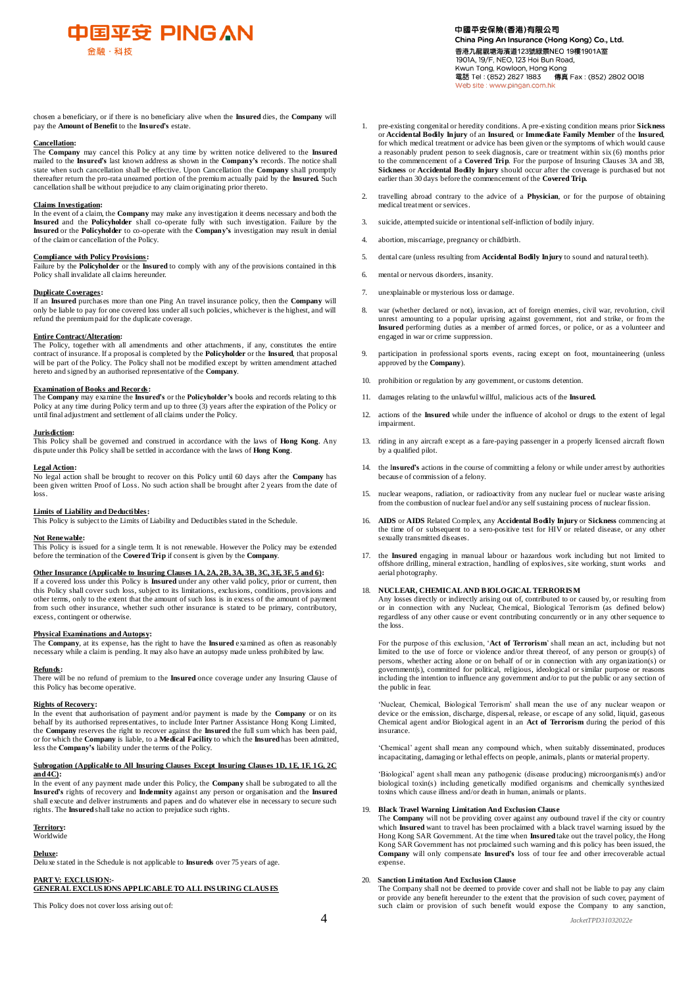

chosen a beneficiary, or if there is no beneficiary alive when the **Insured** dies, the **Company** will pay the **Amount of Benefit** to the **Insured's** estate.

**Cancellation:**  The **Company** may cancel this Policy at any time by written notice delivered to the **Insured** mailed to the **Insured's** last known address as shown in the **Company's** records. The notice shall state when such cancellation shall be effective. Upon Cancellation the **Company** shall promptly thereafter return the pro-rata unearned portion of the premium actually paid by the **Insured.** Such cancellation shall be without prejudice to any claim originating prior thereto.

#### **Claims Investigation:**

In the event of a claim, the **Company** may make any investigation it deems necessary and both the **Insured** and the **Policyholder** shall co-operate fully with such investigation. Failure by the **Insured** or the **Policyholder** to co-operate with the **Company's** investigation may result in denial of the claim or cancellation of the Policy.

#### **Compliance with Policy Provisions:**

Failure by the **Policyholder** or the **Insured** to comply with any of the provisions contained in this Policy shall invalidate all claims hereunder.

# **Duplicate Coverages:**

If an **Insured** purchases more than one Ping An travel insurance policy, then the **Company** will only be liable to pay for one covered loss under all such policies, whichever is the highest, and will refund the premium paid for the duplicate coverage.

#### **Entire Contract/Alteration:**

The Policy, together with all amendments and other attachments, if any, constitutes the entire contract of insurance. If a proposal is completed by the **Policyholder** or the **Insured**, that proposal will be part of the Policy. The Policy shall not be modified except by written amendment attached hereto and signed by an authorised representative of the **Company**.

#### **Examination of Books and Records:**

The **Company** may examine the **Insured's** or the **Policyholder's** books and records relating to this Policy at any time during Policy term and up to three (3) years after the expiration of the Policy or until final adjustment and settlement of all claims under the Policy.

**Jurisdiction:**  This Policy shall be governed and construed in accordance with the laws of **Hong Kong**. Any dispute under this Policy shall be settled in accordance with the laws of **Hong Kong**.

#### **Legal Action:**

No legal action shall be brought to recover on this Policy until 60 days after the **Company** has been given written Proof of Loss. No such action shall be brought after 2 years from the date of loss.

**Limits of Liability and Deductibles:** This Policy is subject to the Limits of Liability and Deductibles stated in the Schedule.

# **Not Renewable:**

This Policy is issued for a single term. It is not renewable. However the Policy may be extended before the termination of the **Covered Trip** if consent is given by the **Company**.

# **Other Insurance (Applicable to Insuring Clauses 1A, 2A, 2B, 3A, 3B, 3C, 3E, 3F, 5 and 6):**

If a covered loss under this Policy is **Insured** under any other valid policy, prior or current, then this Policy shall cover such loss, subject to its limitations, exclusions, conditions, provisions and other terms, only to the extent that the amount of such loss is in excess of the amount of payment from such other insurance, whether such other insurance is stated to be primary, contributory, excess, contingent or otherwise.

# **Physical Examinations and Autopsy:**

The **Company**, at its expense, has the right to have the **Insured** examined as often as reasonably necessary while a claim is pending. It may also have an autopsy made unless prohibited by law.

#### **Refunds:**

There will be no refund of premium to the **Insured** once coverage under any Insuring Clause of this Policy has become operative.

#### **Rights of Recovery:**

In the event that authorisation of payment and/or payment is made by the **Company** or on its behalf by its authorised representatives, to include Inter Partner Assistance Hong Kong Limited, the **Company** reserves the right to recover against the **Insured** the full sum which has been paid,<br>or for which the **Company** is liable, to a **Medical Facility** to which the **Insured** has been admitted,<br>less the **Company'** 

# **Subrogation (Applicable to All Insuring Clauses Except Insuring Clauses 1D, 1E, 1F, 1G, 2C and 4C):**

In the event of any payment made under this Policy, the **Company** shall be subrogated to all the **Insured's** rights of recovery and **Indemnity** against any person or organisation and the **Insured**  shall execute and deliver instruments and papers and do whatever else in necessary to secure such rights. The **Insured** shall take no action to prejudice such rights.

# **Territory:**

**Worldwide** 

**Deluxe:** 

Deluxe stated in the Schedule is not applicable to **Insureds** over 75 years of age.

#### **PART V: EXCLUSION:- GENERAL EXCLUS IONS APPLICABLE TO ALL INS URING CLAUS ES**

This Policy does not cover loss arising out of:

- 1. pre-existing congenital or heredity conditions. A pre-existing condition means prior **Sickness**  or **Accidental Bodily Injury** of an **Insured**, or **Immediate Family Member** of the **Insured**, for which medical treatment or advice has been given or the symptoms of which would cause a reasonably prudent person to seek diagnosis, care or treatment within six (6) months prior to the commencement of a **Covered Trip**. For the purpose of Insuring Clauses 3A and 3B, **Sickness** or **Accidental Bodily Injury** should occur after the coverage is purchased but not earlier than 30 days before the commencement of the **Covered Trip.**
- 2. travelling abroad contrary to the advice of a **Physician**, or for the purpose of obtaining medical treatment or services.
- 3. suicide, attempted suicide or intentional self-infliction of bodily injury.
- 4. abortion, miscarriage, pregnancy or childbirth.
- 5. dental care (unless resulting from **Accidental Bodily Injury** to sound and natural teeth).
- 6. mental or nervous disorders, insanity.
- 7. unexplainable or mysterious loss or damage.
- 8. war (whether declared or not), invasion, act of foreign enemies, civil war, revolution, civil unrest amounting to a popular uprising against government, riot and strike, or from the **Insured** performing duties as a member of armed forces, or police, or as a volunteer and engaged in war or crime suppression.
- 9. participation in professional sports events, racing except on foot, mountaineering (unless approved by the **Company**).
- 10. prohibition or regulation by any government, or customs detention.
- 11. damages relating to the unlawful willful, malicious acts of the **Insured.**
- 12. actions of the **Insured** while under the influence of alcohol or drugs to the extent of legal impairment.
- 13. riding in any aircraft except as a fare-paying passenger in a properly licensed aircraft flown by a qualified pilot.
- 14. the I**nsured's** actions in the course of committing a felony or while under arrest by authorities because of commission of a felony.
- 15. nuclear weapons, radiation, or radioactivity from any nuclear fuel or nuclear waste arising from the combustion of nuclear fuel and/or any self sustaining process of nuclear fission.
- 16. **AIDS** or **AIDS** Related Complex, any **Accidental Bodily Injury** or **Sickness** commencing at the time of or subsequent to a sero-positive test for HIV or related disease, or any other sexually transmitted diseases.
- 17. the **Insured** engaging in manual labour or hazardous work including but not limited to offshore drilling, mineral extraction, handling of explosives, site working, stunt works and aerial photography.

#### 18. **NUCLEAR, CHEMICAL AND BIOLOGICAL TERRORIS M**

Any losses directly or indirectly arising out of, contributed to or caused by, or resulting from or in connection with any Nuclear, Chemical, Biological Terrorism (as defined below) regardless of any other cause or event contributing concurrently or in any other sequence to the loss.

For the purpose of this exclusion, '**Act of Terrorism**' shall mean an act, including but not limited to the use of force or violence and/or threat thereof, of any person or group(s) of persons, whether acting alone or on behalf of or in connection with any organization(s) or government(s), committed for political, religious, ideological or similar purpose or reasons including the intention to influence any government and/or to put the public or any section of the public in fear.

'Nuclear, Chemical, Biological Terrorism' shall mean the use of any nuclear weapon or device or the emission, discharge, dispersal, release, or escape of any solid, liquid, gaseous Chemical agent and/or Biological agent in an **Act of Terrorism** during the period of this insurance.

'Chemical' agent shall mean any compound which, when suitably disseminated, produces incapacitating, damaging or lethal effects on people, animals, plants or material property.

'Biological' agent shall mean any pathogenic (disease producing) microorganism(s) and/or biological toxin(s) including genetically modified organisms and chemically synthesized toxins which cause illness and/or death in human, animals or plants.

## 19. **Black Travel Warning Limitation And Exclusion Clause**

The **Company** will not be providing cover against any outbound travel if the city or country which **Insured** want to travel has been proclaimed with a black travel warning issued by the Hong Kong SAR Government. At the time when **Insured** take out the travel policy, the Hong Kong SAR Government has not proclaimed such warning and this policy has been issued, the **Company** will only compensate **Insured's** loss of tour fee and other irrecoverable actual expense.

# 20. **Sanction Limitation And Exclusion Clause**

The Company shall not be deemed to provide cover and shall not be liable to pay any claim or provide any benefit hereunder to the extent that the provision of such cover, payment of such claim or provision of such benefit would expose the Company to any sanction,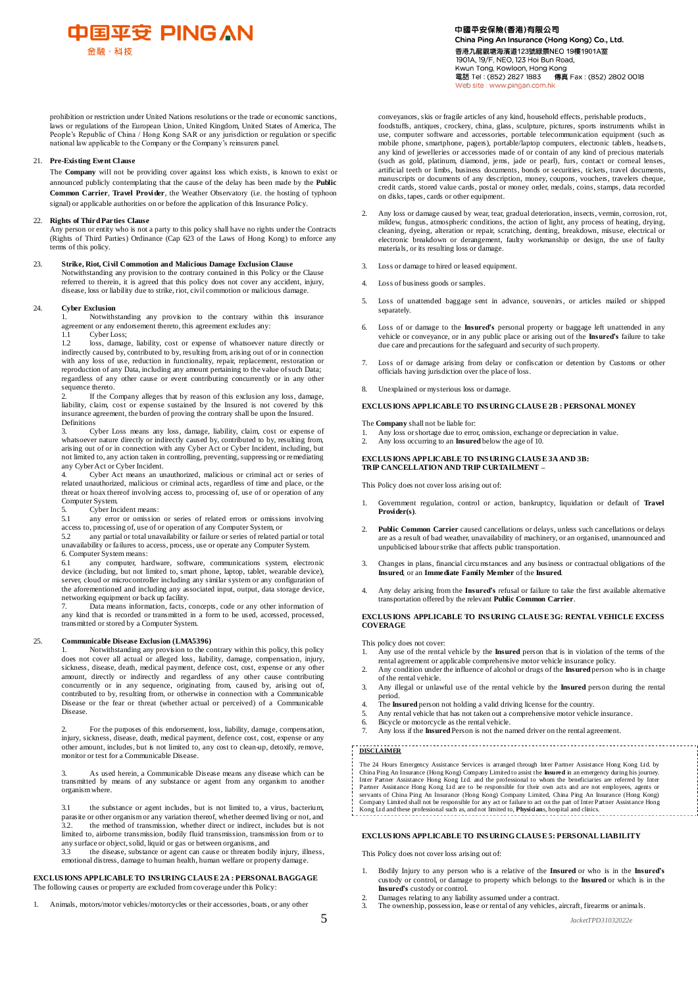

中國平安保險(香港)有限公司 China Ping An Insurance (Hong Kong) Co., Ltd. 香港九龍觀塘海濱道123號綠景NEO 19樓1901A室 1901A, 19/F, NEO, 123 Hoi Bun Road, Kwun Tong, Kowloon, Hong Kong<br>電話 Tel: (852) 2827 1883 傳真 Fax: (852) 2802 0018 site : www.pingan.com.hk

prohibition or restriction under United Nations resolutions or the trade or economic sanctions, laws or regulations of the European Union, United Kingdom, United States of America, The People's Republic of China / Hong Kong SAR or any jurisdiction or regulation or specific national law applicable to the Company or the Company's reinsurers panel.

# 21. **Pre-Existing Event Clause**

The **Company** will not be providing cover against loss which exists, is known to exist or announced publicly contemplating that the cause of the delay has been made by the **Public Common Carrier**, **Travel Provider**, the Weather Observatory (i.e. the hosting of typhoon signal) or applicable authorities on or before the application of this Insurance Policy.

### 22. **Rights of Third Parties Clause**

Any person or entity who is not a party to this policy shall have no rights under the Contracts (Rights of Third Parties) Ordinance (Cap 623 of the Laws of Hong Kong) to enforce any terms of this policy.

# 23. **Strike, Riot, Civil Commotion and Malicious Damage Exclusion Clause**

Notwithstanding any provision to the contrary contained in this Policy or the Clause referred to therein, it is agreed that this policy does not cover any accident, injury, disease, loss or liability due to strike, riot, civil commotion or malicious damage.

### 24. **Cyber Exclusion**

1. Notwithstanding any provision to the contrary within this insurance agreement or any endorsement thereto, this agreement excludes any:

1.1 Cyber Loss;

1.2 loss, damage, liability, cost or expense of whatsoever nature directly or indirectly caused by, contributed to by, resulting from, arising out of or in connection with any loss of use, reduction in functionality, repair, replacement, restoration or reproduction of any Data, including any amount pertaining to the value of such Data; regardless of any other cause or event contributing concurrently or in any other sequence thereto.

2. If the Company alleges that by reason of this exclusion any loss, damage, liability, claim, cost or expense sustained by the Insured is not covered by this insurance agreement, the burden of proving the contrary shall be upon the Insured. Definitions

3. Cyber Loss means any loss, damage, liability, claim, cost or expense of whatsoever nature directly or indirectly caused by, contributed to by, resulting from, arising out of or in connection with any Cyber Act or Cyber Incident, including, but not limited to, any action taken in controlling, preventing, suppressing or remediating not limited to, any action taken in controlling, preventing, suppressing or remediating any Cyber Act or Cyber Incident.

4. Cyber Act means an unauthorized, malicious or criminal act or series of related unauthorized, malicious or criminal acts, regardless of time and place, or the threat or hoax thereof involving access to, processing of, use of or operation of any Computer System.

# 5. Cyber Incident means:<br>5.1 any error or omission

any error or omission or series of related errors or omissions involving access to, processing of, use of or operation of any Computer System, or<br>52 any partial or total unavailability or failure or series of related r

any partial or total unavailability or failure or series of related partial or total unavailability or failures to access, process, use or operate any Computer System. 6. Computer System means:

any computer, hardware, software, communications system, electronic device (including, but not limited to, smart phone, laptop, tablet, wearable device),<br>server, cloud or microcontroller including any similar system or any configuration of<br>the aforementioned and including any associated in networking equipment or back up facility.

Data means information, facts, concepts, code or any other information of any kind that is recorded or transmitted in a form to be used, accessed, processed, transmitted or stored by a Computer System.

### 25. **Communicable Disease Exclusion (LMA5396)**

1. Notwithstanding any provision to the contrary within this policy, this policy does not cover all actual or alleged loss, liability, damage, compensation, injury, sickness, disease, death, medical payment, defence cost, cost, expense or any other amount, directly or indirectly and regardless of any other cause contributing concurrently or in any sequence, originating from, caused by, arising out of, contributed to by, resulting from, or otherwise in connection with a Communicable Disease or the fear or threat (whether actual or perceived) of a Communicable Disease.

2. For the purposes of this endorsement, loss, liability, damage, compensation, injury, sickness, disease, death, medical payment, defence cost, cost, expense or any other amount, includes, but is not limited to, any cost to clean-up, detoxify, remove, monitor or test for a Communicable Disease.

3. As used herein, a Communicable Disease means any disease which can be transmitted by means of any substance or agent from any organism to another organism where.

3.1 the substance or agent includes, but is not limited to, a virus, bacterium, parasite or other organism or any variation thereof, whether deemed living or not, and 3.2. the method of transmission, whether direct or indirect, includes but is not limited to, airborne transmission, bodily fluid transmission, transmission from or to any surface or object, solid, liquid or gas or between organisms, and<br>3.3 the disease, substance or agent can cause or threaten bodi

3.3 the disease, substance or agent can cause or threaten bodily injury, illness, emotional distress, damage to human health, human welfare or property damage.

# **EXCLUS IONS APPLICABLE TO INS URING CLAUS E 2A : PERSONAL BAGGAGE** The following causes or property are excluded from coverage under this Policy:

Animals, motors/motor vehicles/motorcycles or their accessories, boats, or any other

conveyances, skis or fragile articles of any kind, household effects, perishable products, foodstuffs, antiques, crockery, china, glass, sculpture, pictures, sports instruments whilst in use, computer software and accessories, portable telecommunication equipment (such as mobile phone, smartphone, pagers), portable/laptop computers, electronic tablets, headsets, any kind of jewelleries or accessories made of or contain of any kind of precious materials (such as gold, platinum, diamond, jems, jade or pearl), furs, contact or corneal lenses, artificial teeth or limbs, business documents, bonds or securities, tickets, travel documents, manuscripts or documents of any description, money, coupons, vouchers, travelers cheque, credit cards, stored value cards, postal or money order, medals, coins, stamps, data recorded on disks, tapes, cards or other equipment.

- Any loss or damage caused by wear, tear, gradual deterioration, insects, vermin, corrosion, rot, mildew, fungus, atmospheric conditions, the action of light, any process of heating, drying, cleaning, dyeing, alteration or repair, scratching, denting, breakdown, misuse, electrical or electronic breakdown or derangement, faulty workmanship or design, the use of faulty materials, or its resulting loss or damage.
- Loss or damage to hired or leased equipment.
- 4. Loss of business goods or samples.
- 5. Loss of unattended baggage sent in advance, souvenirs, or articles mailed or shipped separately.
- 6. Loss of or damage to the **Insured's** personal property or baggage left unattended in any vehicle or conveyance, or in any public place or arising out of the **Insured's** failure to take due care and precautions for the safeguard and security of such property.
- 7. Loss of or damage arising from delay or confiscation or detention by Customs or other officials having jurisdiction over the place of loss.
- 8. Unexplained or mysterious loss or damage.

# **EXCLUS IONS APPLICABLE TO INS URING CLAUS E 2B : PERSONAL MONEY**

The **Company** shall not be liable for:

- 1. Any loss or shortage due to error, omission, exchange or depreciation in value.<br>2. Any loss occurring to an **Insured** below the age of 10.
- 2. Any loss occurring to an **Insured** below the age of 10.

# **EXCLUS IONS APPLICABLE TO INS URING CLAUS E 3A AND 3B: TRIP CANCELLATION AND TRIP CURTAILMENT –**

This Policy does not cover loss arising out of:

- 1. Government regulation, control or action, bankruptcy, liquidation or default of **Travel Provider(s)**.
- 2. **Public Common Carrier** caused cancellations or delays, unless such cancellations or delays are as a result of bad weather, unavailability of machinery, or an organised, unannounced and unpublicised labour strike that affects public transportation.
- 3. Changes in plans, financial circumstances and any business or contractual obligations of the **Insured**, or an **Immediate Family Member** of the **Insured**.
- 4. Any delay arising from the **Insured's** refusal or failure to take the first available alternative transportation offered by the relevant **Public Common Carrier**.

### **EXCLUS IONS APPLICABLE TO INS URING CLAUS E 3G: RENTAL VEHICLE EXCESS COVERAGE**

This policy does not cover:

- 1. Any use of the rental vehicle by the **Insured** person that is in violation of the terms of the rental agreement or applicable comprehensive motor vehicle insurance policy.
- 2. Any condition under the influence of alcohol or drugs of the **Insured**person who is in charge of the rental vehicle.
- 3. Any illegal or unlawful use of the rental vehicle by the **Insured** person during the rental period.
- 4. The **Insured** person not holding a valid driving license for the country.
- Any rental vehicle that has not taken out a comprehensive motor vehicle insurance.
- 6. Bicycle or motorcycle as the rental vehicle.
- 7. Any loss if the **Insured** Person is not the named driver on the rental agreement.

#### 8. **DISCLAIMER**

The<br>Thire<br>2. Sexual s of China Ping An Insurance (Hong Kong) Company Limited, China Ping An Insurance (Hong Kong)<br>Company Limited, China Ping An Insurance (Hong Kong)<br>Company Limited, China Ping An Insurance (Hong Kong)<br>Kong Lid and th The 24 Hours Emergency Assistance Services is arranged through Inter Partner Assistance Hong Kong Ltd. by<br>China Ping An Insurance (Hong Kong) Company Limited to assist the **Insured** in an emergency during his journey.<br>Inte

#### **EXCLUS IONS APPLICABLE TO INS URING CLAUS E 5: PERSONAL LIABILITY**

This Policy does not cover loss arising out of:

- 1. Bodily Injury to any person who is a relative of the **Insured** or who is in the **Insured's** custody or control, or damage to property which belongs to the **Insured** or which is in the **Insured's** custody or control.
- 2. Damages relating to any liability assumed under a contract. 3. The ownership, possession, lease or rental of any vehicles, aircraft, firearms or animals.